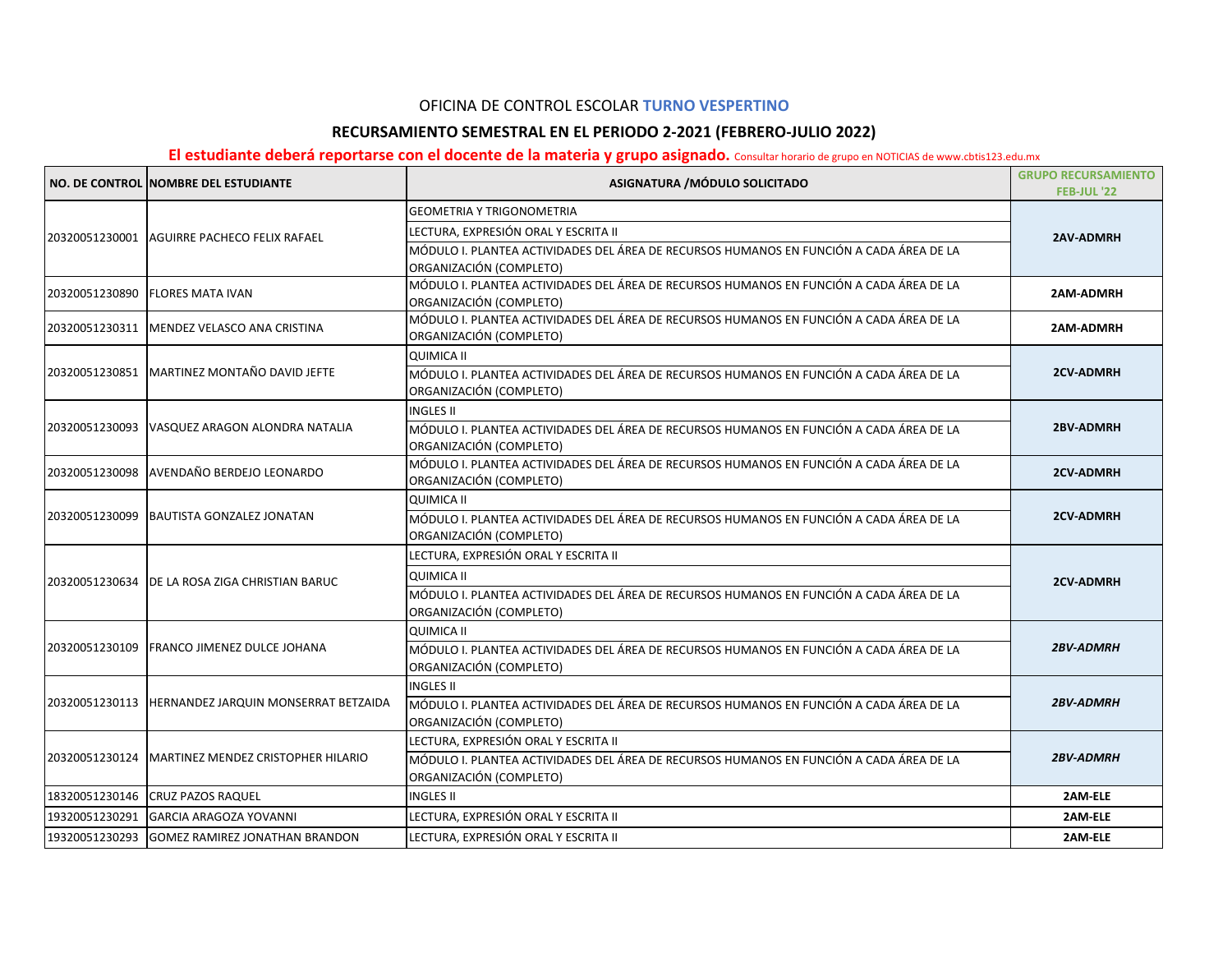## OFICINA DE CONTROL ESCOLAR **TURNO VESPERTINO**

## **RECURSAMIENTO SEMESTRAL EN EL PERIODO 2-2021 (FEBRERO-JULIO 2022)**

## El estudiante deberá reportarse con el docente de la materia y grupo asignado. Consultar horario de grupo en NOTICIAS de www.cbtis123.edu.mx

|                | NO. DE CONTROL NOMBRE DEL ESTUDIANTE      | ASIGNATURA / MÓDULO SOLICITADO                                                                                     | <b>GRUPO RECURSAMIENTO</b><br><b>FEB-JUL '22</b> |
|----------------|-------------------------------------------|--------------------------------------------------------------------------------------------------------------------|--------------------------------------------------|
|                |                                           | <b>GEOMETRIA Y TRIGONOMETRIA</b>                                                                                   |                                                  |
| 20320051230001 | AGUIRRE PACHECO FELIX RAFAEL              | LECTURA, EXPRESIÓN ORAL Y ESCRITA II                                                                               | <b>2AV-ADMRH</b>                                 |
|                |                                           | MÓDULO I. PLANTEA ACTIVIDADES DEL ÁREA DE RECURSOS HUMANOS EN FUNCIÓN A CADA ÁREA DE LA                            |                                                  |
|                |                                           | ORGANIZACIÓN (COMPLETO)                                                                                            |                                                  |
| 20320051230890 | <b>FLORES MATA IVAN</b>                   | MÓDULO I. PLANTEA ACTIVIDADES DEL ÁREA DE RECURSOS HUMANOS EN FUNCIÓN A CADA ÁREA DE LA<br>ORGANIZACIÓN (COMPLETO) | 2AM-ADMRH                                        |
| 20320051230311 | MENDEZ VELASCO ANA CRISTINA               | MÓDULO I. PLANTEA ACTIVIDADES DEL ÁREA DE RECURSOS HUMANOS EN FUNCIÓN A CADA ÁREA DE LA                            | 2AM-ADMRH                                        |
|                |                                           | ORGANIZACIÓN (COMPLETO)                                                                                            |                                                  |
|                |                                           | <b>QUIMICA II</b>                                                                                                  |                                                  |
| 20320051230851 | MARTINEZ MONTAÑO DAVID JEFTE              | MÓDULO I. PLANTEA ACTIVIDADES DEL ÁREA DE RECURSOS HUMANOS EN FUNCIÓN A CADA ÁREA DE LA                            | <b>2CV-ADMRH</b>                                 |
|                |                                           | ORGANIZACIÓN (COMPLETO)                                                                                            |                                                  |
|                |                                           | <b>INGLES II</b>                                                                                                   | 2BV-ADMRH                                        |
| 20320051230093 | VASQUEZ ARAGON ALONDRA NATALIA            | MÓDULO I. PLANTEA ACTIVIDADES DEL ÁREA DE RECURSOS HUMANOS EN FUNCIÓN A CADA ÁREA DE LA<br>ORGANIZACIÓN (COMPLETO) |                                                  |
|                | AVENDAÑO BERDEJO LEONARDO                 | MÓDULO I. PLANTEA ACTIVIDADES DEL ÁREA DE RECURSOS HUMANOS EN FUNCIÓN A CADA ÁREA DE LA                            | <b>2CV-ADMRH</b>                                 |
| 20320051230098 |                                           | ORGANIZACIÓN (COMPLETO)                                                                                            |                                                  |
|                | <b>BAUTISTA GONZALEZ JONATAN</b>          | <b>QUIMICA II</b>                                                                                                  | <b>2CV-ADMRH</b>                                 |
| 20320051230099 |                                           | MÓDULO I. PLANTEA ACTIVIDADES DEL ÁREA DE RECURSOS HUMANOS EN FUNCIÓN A CADA ÁREA DE LA                            |                                                  |
|                |                                           | ORGANIZACIÓN (COMPLETO)                                                                                            |                                                  |
|                |                                           | LECTURA, EXPRESIÓN ORAL Y ESCRITA II                                                                               | <b>2CV-ADMRH</b>                                 |
| 20320051230634 | <b>IDE LA ROSA ZIGA CHRISTIAN BARUC</b>   | <b>QUIMICA II</b>                                                                                                  |                                                  |
|                |                                           | MÓDULO I. PLANTEA ACTIVIDADES DEL ÁREA DE RECURSOS HUMANOS EN FUNCIÓN A CADA ÁREA DE LA                            |                                                  |
|                |                                           | ORGANIZACIÓN (COMPLETO)                                                                                            |                                                  |
|                | FRANCO JIMENEZ DULCE JOHANA               | OUIMICA II                                                                                                         | <b>2BV-ADMRH</b>                                 |
| 20320051230109 |                                           | MÓDULO I. PLANTEA ACTIVIDADES DEL ÁREA DE RECURSOS HUMANOS EN FUNCIÓN A CADA ÁREA DE LA                            |                                                  |
|                |                                           | ORGANIZACIÓN (COMPLETO)                                                                                            |                                                  |
|                |                                           | <b>INGLES II</b>                                                                                                   |                                                  |
| 20320051230113 | HERNANDEZ JARQUIN MONSERRAT BETZAIDA      | MÓDULO I. PLANTEA ACTIVIDADES DEL ÁREA DE RECURSOS HUMANOS EN FUNCIÓN A CADA ÁREA DE LA                            | <b>2BV-ADMRH</b>                                 |
|                |                                           | ORGANIZACIÓN (COMPLETO)                                                                                            |                                                  |
|                |                                           | LECTURA, EXPRESIÓN ORAL Y ESCRITA II                                                                               |                                                  |
| 20320051230124 | <b>MARTINEZ MENDEZ CRISTOPHER HILARIO</b> | MÓDULO I. PLANTEA ACTIVIDADES DEL ÁREA DE RECURSOS HUMANOS EN FUNCIÓN A CADA ÁREA DE LA                            | <b>2BV-ADMRH</b>                                 |
|                |                                           | ORGANIZACIÓN (COMPLETO)                                                                                            |                                                  |
| 18320051230146 | <b>CRUZ PAZOS RAQUEL</b>                  | <b>INGLES II</b>                                                                                                   | 2AM-ELE                                          |
| 19320051230291 | <b>GARCIA ARAGOZA YOVANNI</b>             | LECTURA, EXPRESIÓN ORAL Y ESCRITA II                                                                               | 2AM-ELE                                          |
| 19320051230293 | <b>GOMEZ RAMIREZ JONATHAN BRANDON</b>     | LECTURA, EXPRESIÓN ORAL Y ESCRITA II                                                                               | 2AM-ELE                                          |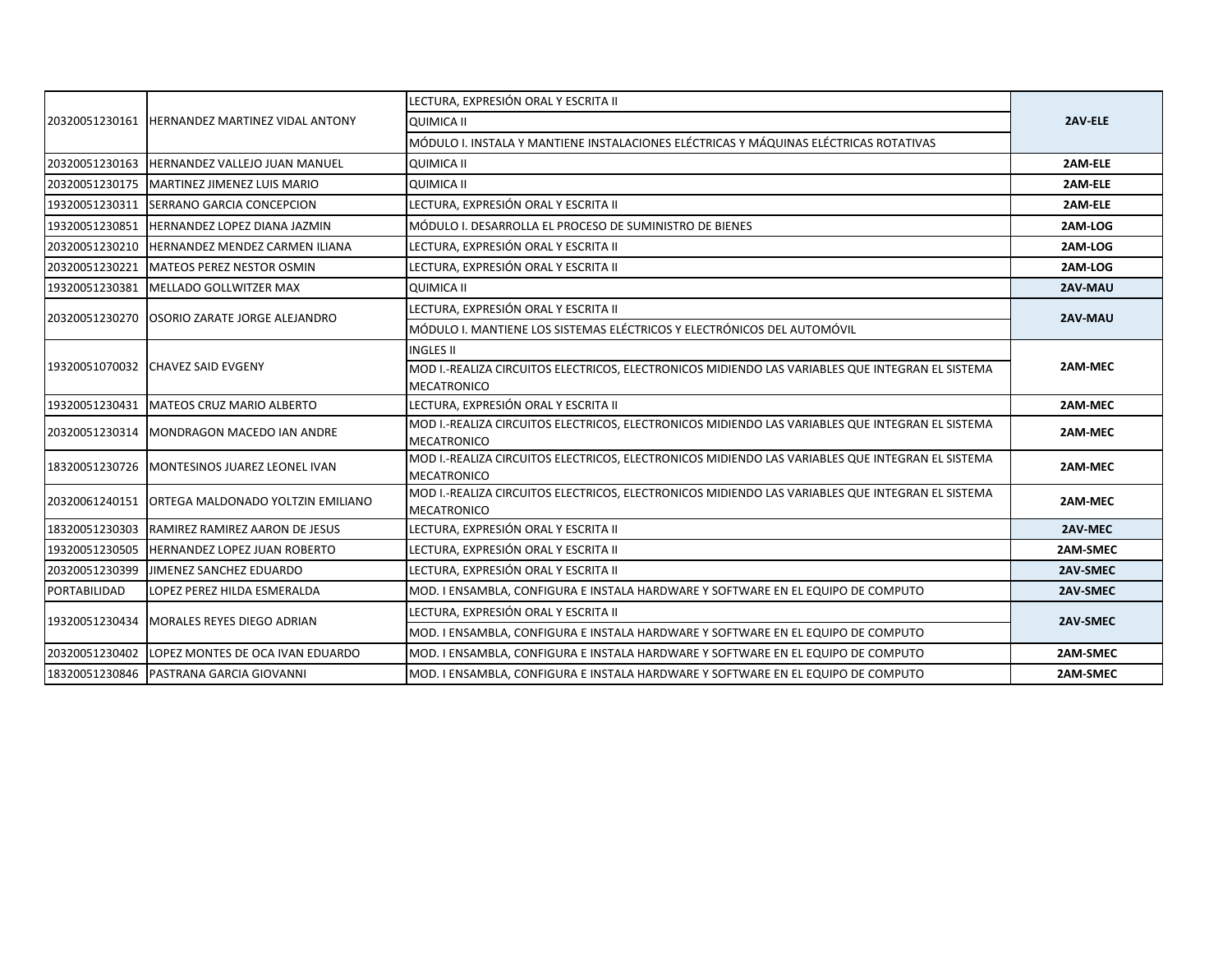| 20320051230161 | <b>HERNANDEZ MARTINEZ VIDAL ANTONY</b>       | LECTURA, EXPRESIÓN ORAL Y ESCRITA II                                                                                   | 2AV-ELE  |
|----------------|----------------------------------------------|------------------------------------------------------------------------------------------------------------------------|----------|
|                |                                              | <b>QUIMICA II</b>                                                                                                      |          |
|                |                                              | MÓDULO I. INSTALA Y MANTIENE INSTALACIONES ELÉCTRICAS Y MÁQUINAS ELÉCTRICAS ROTATIVAS                                  |          |
| 20320051230163 | HERNANDEZ VALLEJO JUAN MANUEL                | QUIMICA II                                                                                                             | 2AM-ELE  |
| 20320051230175 | MARTINEZ JIMENEZ LUIS MARIO                  | <b>QUIMICA II</b>                                                                                                      | 2AM-ELE  |
| 19320051230311 | <b>SERRANO GARCIA CONCEPCION</b>             | LECTURA. EXPRESIÓN ORAL Y ESCRITA II                                                                                   | 2AM-ELE  |
| 19320051230851 | <b>HERNANDEZ LOPEZ DIANA JAZMIN</b>          | MÓDULO I. DESARROLLA EL PROCESO DE SUMINISTRO DE BIENES                                                                | 2AM-LOG  |
| 20320051230210 | <b>HERNANDEZ MENDEZ CARMEN ILIANA</b>        | LECTURA, EXPRESIÓN ORAL Y ESCRITA II                                                                                   | 2AM-LOG  |
| 20320051230221 | MATEOS PEREZ NESTOR OSMIN                    | LECTURA, EXPRESIÓN ORAL Y ESCRITA II                                                                                   | 2AM-LOG  |
| 19320051230381 | MELLADO GOLLWITZER MAX                       | QUIMICA II                                                                                                             | 2AV-MAU  |
|                |                                              | LECTURA, EXPRESIÓN ORAL Y ESCRITA II                                                                                   | 2AV-MAU  |
| 20320051230270 | <b>OSORIO ZARATE JORGE ALEJANDRO</b>         | MÓDULO I. MANTIENE LOS SISTEMAS ELÉCTRICOS Y ELECTRÓNICOS DEL AUTOMÓVIL                                                |          |
|                |                                              | <b>INGLES II</b>                                                                                                       | 2AM-MEC  |
| 19320051070032 | <b>ICHAVEZ SAID EVGENY</b>                   | MOD I.-REALIZA CIRCUITOS ELECTRICOS, ELECTRONICOS MIDIENDO LAS VARIABLES QUE INTEGRAN EL SISTEMA                       |          |
|                |                                              | MECATRONICO                                                                                                            |          |
| 19320051230431 | MATEOS CRUZ MARIO ALBERTO                    | LECTURA, EXPRESIÓN ORAL Y ESCRITA II                                                                                   | 2AM-MEC  |
| 20320051230314 | MONDRAGON MACEDO IAN ANDRE                   | MOD I.-REALIZA CIRCUITOS ELECTRICOS, ELECTRONICOS MIDIENDO LAS VARIABLES QUE INTEGRAN EL SISTEMA<br>MECATRONICO        | 2AM-MEC  |
|                | 18320051230726 MONTESINOS JUAREZ LEONEL IVAN | MOD I.-REALIZA CIRCUITOS ELECTRICOS, ELECTRONICOS MIDIENDO LAS VARIABLES QUE INTEGRAN EL SISTEMA<br><b>MECATRONICO</b> | 2AM-MEC  |
| 20320061240151 | ORTEGA MALDONADO YOLTZIN EMILIANO            | MOD I.-REALIZA CIRCUITOS ELECTRICOS, ELECTRONICOS MIDIENDO LAS VARIABLES QUE INTEGRAN EL SISTEMA<br><b>MECATRONICO</b> | 2AM-MEC  |
| 18320051230303 | RAMIREZ RAMIREZ AARON DE JESUS               | LECTURA, EXPRESIÓN ORAL Y ESCRITA II                                                                                   | 2AV-MEC  |
| 19320051230505 | <b>HERNANDEZ LOPEZ JUAN ROBERTO</b>          | LECTURA, EXPRESIÓN ORAL Y ESCRITA II                                                                                   | 2AM-SMEC |
| 20320051230399 | JIMENEZ SANCHEZ EDUARDO                      | LECTURA, EXPRESIÓN ORAL Y ESCRITA II                                                                                   | 2AV-SMEC |
| PORTABILIDAD   | LOPEZ PEREZ HILDA ESMERALDA                  | MOD. I ENSAMBLA, CONFIGURA E INSTALA HARDWARE Y SOFTWARE EN EL EQUIPO DE COMPUTO                                       | 2AV-SMEC |
| 19320051230434 | MORALES REYES DIEGO ADRIAN                   | LECTURA, EXPRESIÓN ORAL Y ESCRITA II                                                                                   | 2AV-SMEC |
|                |                                              | MOD. I ENSAMBLA, CONFIGURA E INSTALA HARDWARE Y SOFTWARE EN EL EQUIPO DE COMPUTO                                       |          |
| 20320051230402 | LOPEZ MONTES DE OCA IVAN EDUARDO             | MOD. I ENSAMBLA, CONFIGURA E INSTALA HARDWARE Y SOFTWARE EN EL EQUIPO DE COMPUTO                                       | 2AM-SMEC |
|                | 18320051230846 PASTRANA GARCIA GIOVANNI      | MOD. I ENSAMBLA, CONFIGURA E INSTALA HARDWARE Y SOFTWARE EN EL EQUIPO DE COMPUTO                                       | 2AM-SMEC |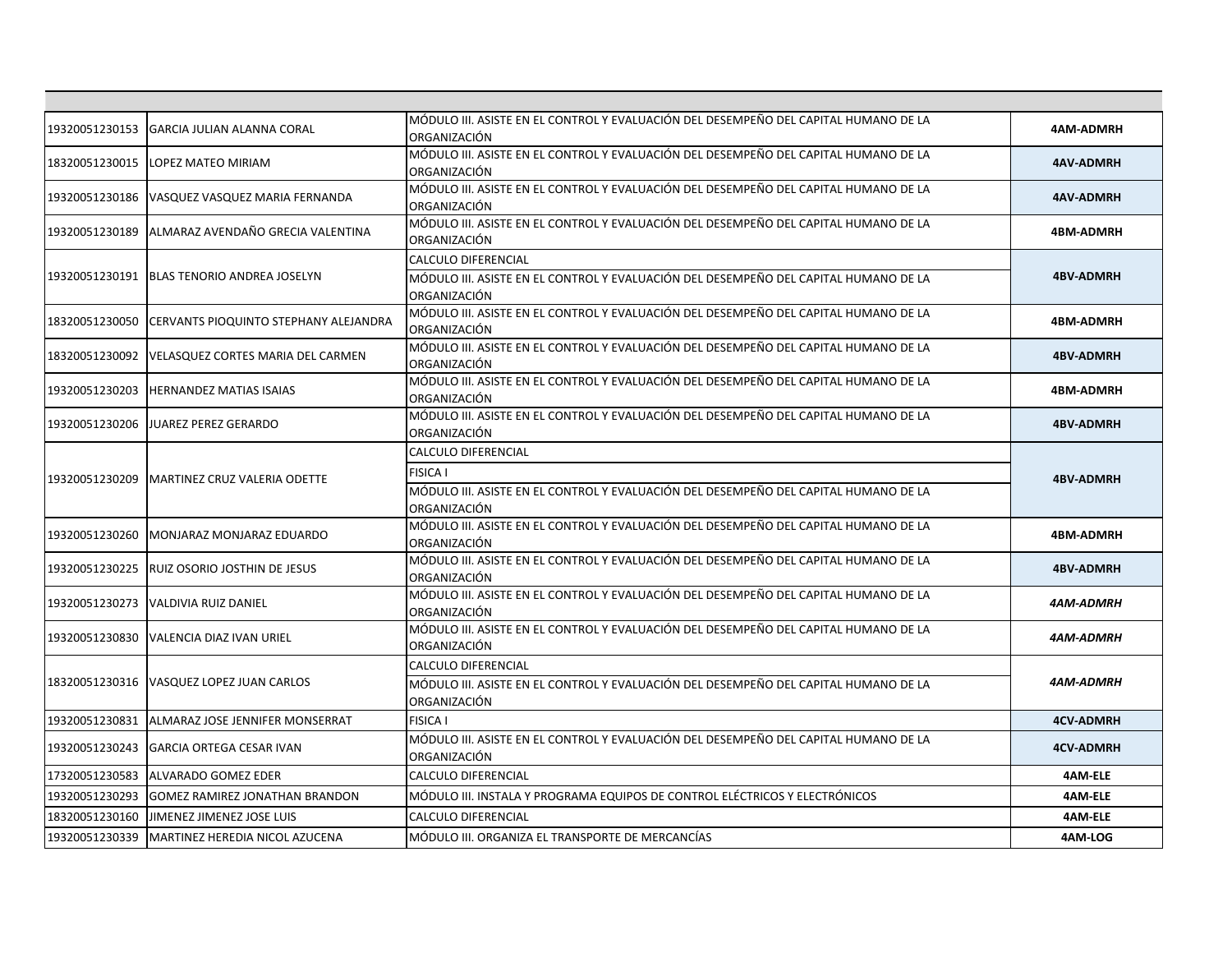| 19320051230153 | <b>GARCIA JULIAN ALANNA CORAL</b>     | MÓDULO III. ASISTE EN EL CONTROL Y EVALUACIÓN DEL DESEMPEÑO DEL CAPITAL HUMANO DE LA<br>ORGANIZACIÓN                                           | <b>4AM-ADMRH</b> |
|----------------|---------------------------------------|------------------------------------------------------------------------------------------------------------------------------------------------|------------------|
| 18320051230015 | <b>LOPEZ MATEO MIRIAM</b>             | MÓDULO III. ASISTE EN EL CONTROL Y EVALUACIÓN DEL DESEMPEÑO DEL CAPITAL HUMANO DE LA<br>ORGANIZACIÓN                                           | <b>4AV-ADMRH</b> |
| 19320051230186 | VASQUEZ VASQUEZ MARIA FERNANDA        | MÓDULO III. ASISTE EN EL CONTROL Y EVALUACIÓN DEL DESEMPEÑO DEL CAPITAL HUMANO DE LA<br>ORGANIZACIÓN                                           | <b>4AV-ADMRH</b> |
| 19320051230189 | ALMARAZ AVENDAÑO GRECIA VALENTINA     | MÓDULO III. ASISTE EN EL CONTROL Y EVALUACIÓN DEL DESEMPEÑO DEL CAPITAL HUMANO DE LA<br>ORGANIZACIÓN                                           | <b>4BM-ADMRH</b> |
| 19320051230191 | <b>BLAS TENORIO ANDREA JOSELYN</b>    | <b>CALCULO DIFERENCIAL</b><br>MÓDULO III. ASISTE EN EL CONTROL Y EVALUACIÓN DEL DESEMPEÑO DEL CAPITAL HUMANO DE LA<br>ORGANIZACIÓN             | <b>4BV-ADMRH</b> |
| 18320051230050 | CERVANTS PIOQUINTO STEPHANY ALEJANDRA | MÓDULO III. ASISTE EN EL CONTROL Y EVALUACIÓN DEL DESEMPEÑO DEL CAPITAL HUMANO DE LA<br>ORGANIZACIÓN                                           | <b>4BM-ADMRH</b> |
| 18320051230092 | VELASQUEZ CORTES MARIA DEL CARMEN     | MÓDULO III. ASISTE EN EL CONTROL Y EVALUACIÓN DEL DESEMPEÑO DEL CAPITAL HUMANO DE LA<br>ORGANIZACIÓN                                           | <b>4BV-ADMRH</b> |
| 19320051230203 | <b>HERNANDEZ MATIAS ISAIAS</b>        | MÓDULO III. ASISTE EN EL CONTROL Y EVALUACIÓN DEL DESEMPEÑO DEL CAPITAL HUMANO DE LA<br>ORGANIZACIÓN                                           | <b>4BM-ADMRH</b> |
| 19320051230206 | JUAREZ PEREZ GERARDO                  | MÓDULO III. ASISTE EN EL CONTROL Y EVALUACIÓN DEL DESEMPEÑO DEL CAPITAL HUMANO DE LA<br>ORGANIZACIÓN                                           | <b>4BV-ADMRH</b> |
| 19320051230209 | MARTINEZ CRUZ VALERIA ODETTE          | CALCULO DIFERENCIAL<br><b>FISICA I</b><br>MÓDULO III. ASISTE EN EL CONTROL Y EVALUACIÓN DEL DESEMPEÑO DEL CAPITAL HUMANO DE LA<br>ORGANIZACIÓN | <b>4BV-ADMRH</b> |
| 19320051230260 | MONJARAZ MONJARAZ EDUARDO             | MÓDULO III. ASISTE EN EL CONTROL Y EVALUACIÓN DEL DESEMPEÑO DEL CAPITAL HUMANO DE LA<br>ORGANIZACIÓN                                           | <b>4BM-ADMRH</b> |
| 19320051230225 | RUIZ OSORIO JOSTHIN DE JESUS          | MÓDULO III. ASISTE EN EL CONTROL Y EVALUACIÓN DEL DESEMPEÑO DEL CAPITAL HUMANO DE LA<br>ORGANIZACIÓN                                           | <b>4BV-ADMRH</b> |
| 19320051230273 | <b>VALDIVIA RUIZ DANIEL</b>           | MÓDULO III. ASISTE EN EL CONTROL Y EVALUACIÓN DEL DESEMPEÑO DEL CAPITAL HUMANO DE LA<br>ORGANIZACIÓN                                           | 4AM-ADMRH        |
| 19320051230830 | <b>VALENCIA DIAZ IVAN URIEL</b>       | MÓDULO III. ASISTE EN EL CONTROL Y EVALUACIÓN DEL DESEMPEÑO DEL CAPITAL HUMANO DE LA<br>ORGANIZACIÓN                                           | 4AM-ADMRH        |
| 18320051230316 | VASQUEZ LOPEZ JUAN CARLOS             | CALCULO DIFERENCIAL<br>MÓDULO III. ASISTE EN EL CONTROL Y EVALUACIÓN DEL DESEMPEÑO DEL CAPITAL HUMANO DE LA<br>ORGANIZACIÓN                    | 4AM-ADMRH        |
| 19320051230831 | ALMARAZ JOSE JENNIFER MONSERRAT       | <b>FISICA I</b>                                                                                                                                | <b>4CV-ADMRH</b> |
| 19320051230243 | <b>GARCIA ORTEGA CESAR IVAN</b>       | MÓDULO III. ASISTE EN EL CONTROL Y EVALUACIÓN DEL DESEMPEÑO DEL CAPITAL HUMANO DE LA<br>ORGANIZACIÓN                                           | <b>4CV-ADMRH</b> |
| 17320051230583 | <b>ALVARADO GOMEZ EDER</b>            | CALCULO DIFERENCIAL                                                                                                                            | 4AM-ELE          |
| 19320051230293 | <b>GOMEZ RAMIREZ JONATHAN BRANDON</b> | MÓDULO III. INSTALA Y PROGRAMA EQUIPOS DE CONTROL ELÉCTRICOS Y ELECTRÓNICOS                                                                    | 4AM-ELE          |
| 18320051230160 | JIMENEZ JIMENEZ JOSE LUIS             | CALCULO DIFERENCIAL                                                                                                                            | 4AM-ELE          |
| 19320051230339 | MARTINEZ HEREDIA NICOL AZUCENA        | MÓDULO III. ORGANIZA EL TRANSPORTE DE MERCANCÍAS                                                                                               | 4AM-LOG          |